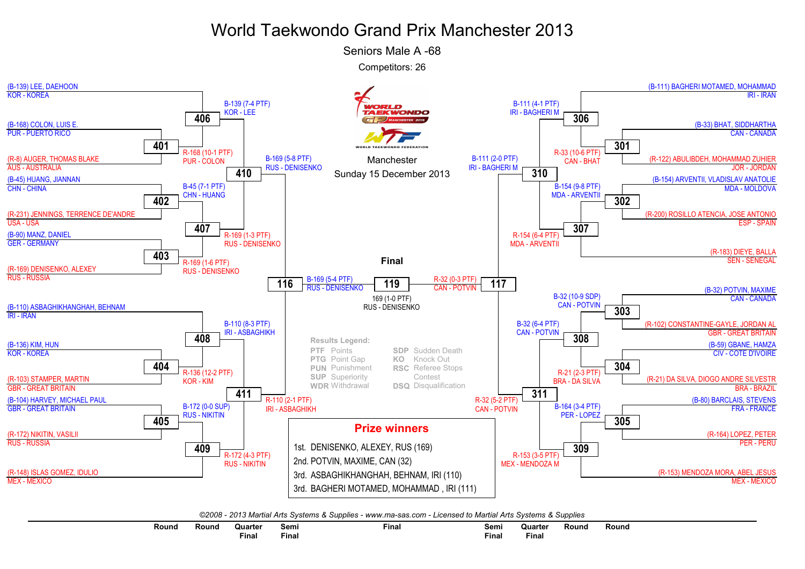## World Taekwondo Grand Prix Manchester 2013

Seniors Male A -68

Competitors: 26



*©2008 - 2013 Martial Arts Systems & Supplies - www.ma-sas.com - Licensed to Martial Arts Systems & Supplies*

| Round | रound | Quarter      | Semi  | Final | Semi  | Quarter     | Round | Rounc |
|-------|-------|--------------|-------|-------|-------|-------------|-------|-------|
|       |       | <b>Final</b> | Fina. |       | Final | --<br>Final |       |       |